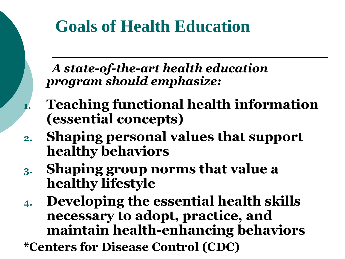### **Goals of Health Education**

 *A state-of-the-art health education program should emphasize:*

- **1. Teaching functional health information (essential concepts)**
- **2. Shaping personal values that support healthy behaviors**
- **3. Shaping group norms that value a healthy lifestyle**
- **4. Developing the essential health skills necessary to adopt, practice, and maintain health-enhancing behaviors**
- **\*Centers for Disease Control (CDC)**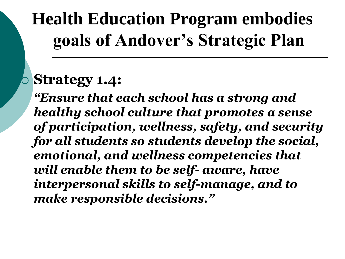## **Health Education Program embodies goals of Andover's Strategic Plan**

#### **Strategy 1.4:**

*"Ensure that each school has a strong and healthy school culture that promotes a sense of participation, wellness, safety, and security for all students so students develop the social, emotional, and wellness competencies that will enable them to be self- aware, have interpersonal skills to self-manage, and to make responsible decisions."*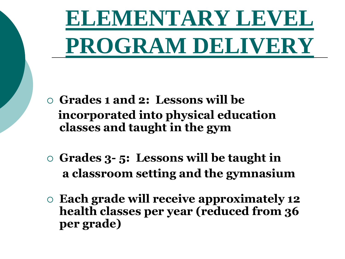**ELEMENTARY LEVEL PROGRAM DELIVERY**

- **Grades 1 and 2: Lessons will be incorporated into physical education classes and taught in the gym**
- **Grades 3- 5: Lessons will be taught in a classroom setting and the gymnasium**
- **Each grade will receive approximately 12 health classes per year (reduced from 36 per grade)**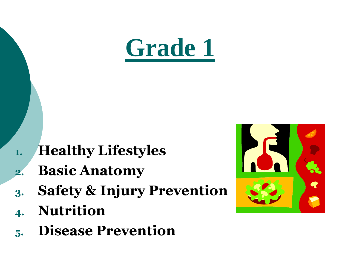

- **1. Healthy Lifestyles**
- **2. Basic Anatomy**
- **3. Safety & Injury Prevention**
- **4. Nutrition**
- **5. Disease Prevention**

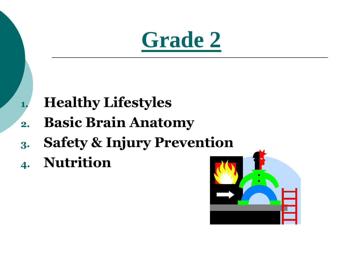

- **1. Healthy Lifestyles**
- **2. Basic Brain Anatomy**
- **3. Safety & Injury Prevention**
- **4. Nutrition**

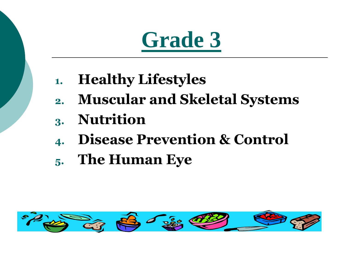# **Grade 3**

- **1. Healthy Lifestyles**
- **2. Muscular and Skeletal Systems 3. Nutrition**
- **4. Disease Prevention & Control**
- **5. The Human Eye**

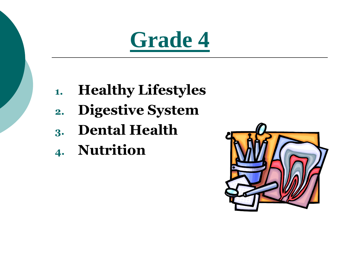

- **1. Healthy Lifestyles**
- **2. Digestive System**
- **3. Dental Health**
- **4. Nutrition**